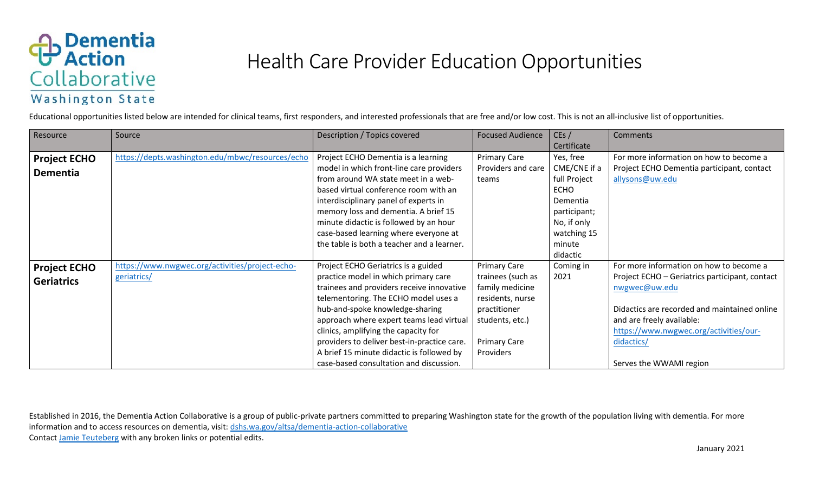

## Health Care Provider Education Opportunities

Educational opportunities listed below are intended for clinical teams, first responders, and interested professionals that are free and/or low cost. This is not an all-inclusive list of opportunities.

| Resource            | Source                                           | Description / Topics covered                | <b>Focused Audience</b> | CEs/         | Comments                                       |
|---------------------|--------------------------------------------------|---------------------------------------------|-------------------------|--------------|------------------------------------------------|
|                     |                                                  |                                             |                         | Certificate  |                                                |
| <b>Project ECHO</b> | https://depts.washington.edu/mbwc/resources/echo | Project ECHO Dementia is a learning         | <b>Primary Care</b>     | Yes, free    | For more information on how to become a        |
| <b>Dementia</b>     |                                                  | model in which front-line care providers    | Providers and care      | CME/CNE if a | Project ECHO Dementia participant, contact     |
|                     |                                                  | from around WA state meet in a web-         | teams                   | full Project | allysons@uw.edu                                |
|                     |                                                  | based virtual conference room with an       |                         | <b>ECHO</b>  |                                                |
|                     |                                                  | interdisciplinary panel of experts in       |                         | Dementia     |                                                |
|                     |                                                  | memory loss and dementia. A brief 15        |                         | participant; |                                                |
|                     |                                                  | minute didactic is followed by an hour      |                         | No, if only  |                                                |
|                     |                                                  | case-based learning where everyone at       |                         | watching 15  |                                                |
|                     |                                                  | the table is both a teacher and a learner.  |                         | minute       |                                                |
|                     |                                                  |                                             |                         | didactic     |                                                |
| <b>Project ECHO</b> | https://www.nwgwec.org/activities/project-echo-  | Project ECHO Geriatrics is a guided         | <b>Primary Care</b>     | Coming in    | For more information on how to become a        |
| <b>Geriatrics</b>   | geriatrics/                                      | practice model in which primary care        | trainees (such as       | 2021         | Project ECHO - Geriatrics participant, contact |
|                     |                                                  | trainees and providers receive innovative   | family medicine         |              | nwgwec@uw.edu                                  |
|                     |                                                  | telementoring. The ECHO model uses a        | residents, nurse        |              |                                                |
|                     |                                                  | hub-and-spoke knowledge-sharing             | practitioner            |              | Didactics are recorded and maintained online   |
|                     |                                                  | approach where expert teams lead virtual    | students, etc.)         |              | and are freely available:                      |
|                     |                                                  | clinics, amplifying the capacity for        |                         |              | https://www.nwgwec.org/activities/our-         |
|                     |                                                  | providers to deliver best-in-practice care. | <b>Primary Care</b>     |              | didactics/                                     |
|                     |                                                  | A brief 15 minute didactic is followed by   | Providers               |              |                                                |
|                     |                                                  | case-based consultation and discussion.     |                         |              | Serves the WWAMI region                        |

Established in 2016, the Dementia Action Collaborative is a group of public-private partners committed to preparing Washington state for the growth of the population living with dementia. For more information and to access resources on dementia, visit[: dshs.wa.gov/altsa/dementia-action-collaborative](http://www.dshs.wa.gov/altsa/dementia-action-collaborative) Contact [Jamie Teuteberg](mailto:jamie.teuteberg@hca.wa.gov) with any broken links or potential edits.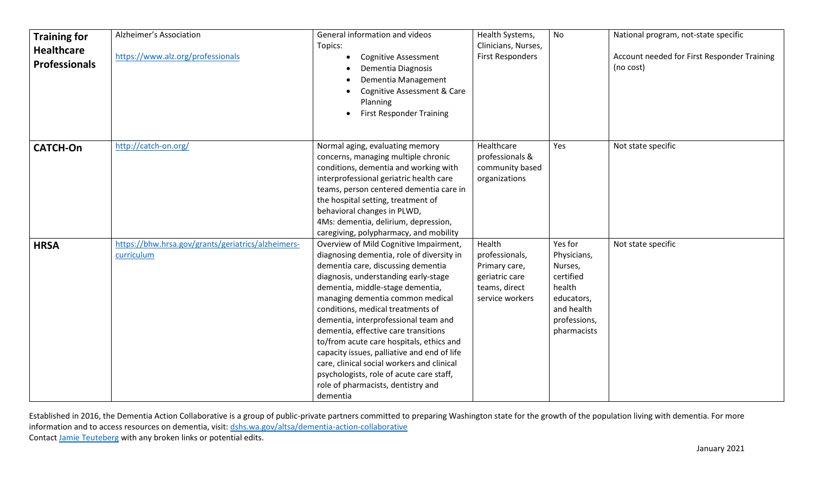| <b>Training for</b><br><b>Healthcare</b><br><b>Professionals</b> | Alzheimer's Association<br>https://www.alz.org/professionals     | General information and videos<br>Topics:<br><b>Cognitive Assessment</b><br>Dementia Diagnosis<br>Dementia Management<br>Cognitive Assessment & Care<br>Planning<br><b>First Responder Training</b>                                                                                                                                                                                                                                                                                                                                                                                                   | Health Systems,<br>Clinicians, Nurses,<br><b>First Responders</b>                               | No                                                                                                                  | National program, not-state specific<br>Account needed for First Responder Training<br>(no cost) |
|------------------------------------------------------------------|------------------------------------------------------------------|-------------------------------------------------------------------------------------------------------------------------------------------------------------------------------------------------------------------------------------------------------------------------------------------------------------------------------------------------------------------------------------------------------------------------------------------------------------------------------------------------------------------------------------------------------------------------------------------------------|-------------------------------------------------------------------------------------------------|---------------------------------------------------------------------------------------------------------------------|--------------------------------------------------------------------------------------------------|
| <b>CATCH-On</b>                                                  | http://catch-on.org/                                             | Normal aging, evaluating memory<br>concerns, managing multiple chronic<br>conditions, dementia and working with<br>interprofessional geriatric health care<br>teams, person centered dementia care in<br>the hospital setting, treatment of<br>behavioral changes in PLWD,<br>4Ms: dementia, delirium, depression,<br>caregiving, polypharmacy, and mobility                                                                                                                                                                                                                                          | Healthcare<br>professionals &<br>community based<br>organizations                               | Yes                                                                                                                 | Not state specific                                                                               |
| <b>HRSA</b>                                                      | https://bhw.hrsa.gov/grants/geriatrics/alzheimers-<br>curriculum | Overview of Mild Cognitive Impairment,<br>diagnosing dementia, role of diversity in<br>dementia care, discussing dementia<br>diagnosis, understanding early-stage<br>dementia, middle-stage dementia,<br>managing dementia common medical<br>conditions, medical treatments of<br>dementia, interprofessional team and<br>dementia, effective care transitions<br>to/from acute care hospitals, ethics and<br>capacity issues, palliative and end of life<br>care, clinical social workers and clinical<br>psychologists, role of acute care staff,<br>role of pharmacists, dentistry and<br>dementia | Health<br>professionals,<br>Primary care,<br>geriatric care<br>teams, direct<br>service workers | Yes for<br>Physicians,<br>Nurses,<br>certified<br>health<br>educators,<br>and health<br>professions,<br>pharmacists | Not state specific                                                                               |

Established in 2016, the Dementia Action Collaborative is a group of public-private partners committed to preparing Washington state for the growth of the population living with dementia. For more information and to access resources on dementia, visit[: dshs.wa.gov/altsa/dementia-action-collaborative](http://www.dshs.wa.gov/altsa/dementia-action-collaborative) Contact [Jamie Teuteberg](mailto:jamie.teuteberg@hca.wa.gov) with any broken links or potential edits.